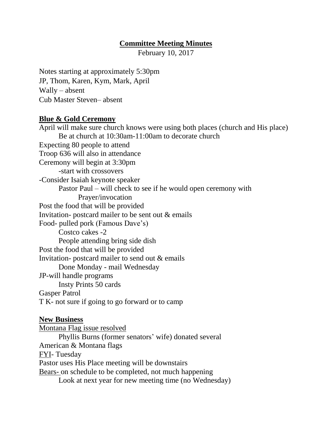## **Committee Meeting Minutes**

February 10, 2017

Notes starting at approximately 5:30pm JP, Thom, Karen, Kym, Mark, April Wally – absent Cub Master Steven– absent

## **Blue & Gold Ceremony**

April will make sure church knows were using both places (church and His place) Be at church at 10:30am-11:00am to decorate church Expecting 80 people to attend Troop 636 will also in attendance Ceremony will begin at 3:30pm -start with crossovers -Consider Isaiah keynote speaker Pastor Paul – will check to see if he would open ceremony with Prayer/invocation Post the food that will be provided Invitation- postcard mailer to be sent out & emails Food- pulled pork (Famous Dave's) Costco cakes -2 People attending bring side dish Post the food that will be provided Invitation- postcard mailer to send out & emails Done Monday - mail Wednesday JP-will handle programs Insty Prints 50 cards Gasper Patrol T K- not sure if going to go forward or to camp **New Business** Montana Flag issue resolved

Phyllis Burns (former senators' wife) donated several American & Montana flags FYI- Tuesday Pastor uses His Place meeting will be downstairs Bears- on schedule to be completed, not much happening Look at next year for new meeting time (no Wednesday)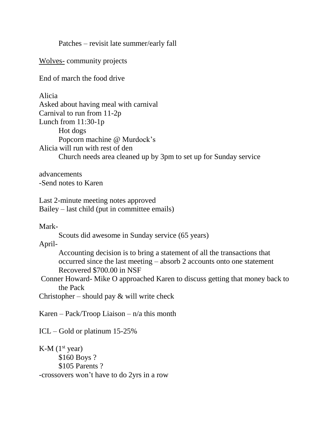Patches – revisit late summer/early fall

Wolves- community projects

End of march the food drive

Alicia Asked about having meal with carnival Carnival to run from 11-2p Lunch from 11:30-1p Hot dogs Popcorn machine @ Murdock's Alicia will run with rest of den Church needs area cleaned up by 3pm to set up for Sunday service

advancements -Send notes to Karen

Last 2-minute meeting notes approved Bailey – last child (put in committee emails)

Mark-

Scouts did awesome in Sunday service (65 years)

April-

Accounting decision is to bring a statement of all the transactions that occurred since the last meeting – absorb 2 accounts onto one statement Recovered \$700.00 in NSF

Conner Howard- Mike O approached Karen to discuss getting that money back to the Pack

Christopher – should pay  $&$  will write check

Karen – Pack/Troop Liaison – n/a this month

ICL – Gold or platinum 15-25%

 $K-M$  (1<sup>st</sup> year) \$160 Boys ? \$105 Parents ? -crossovers won't have to do 2yrs in a row